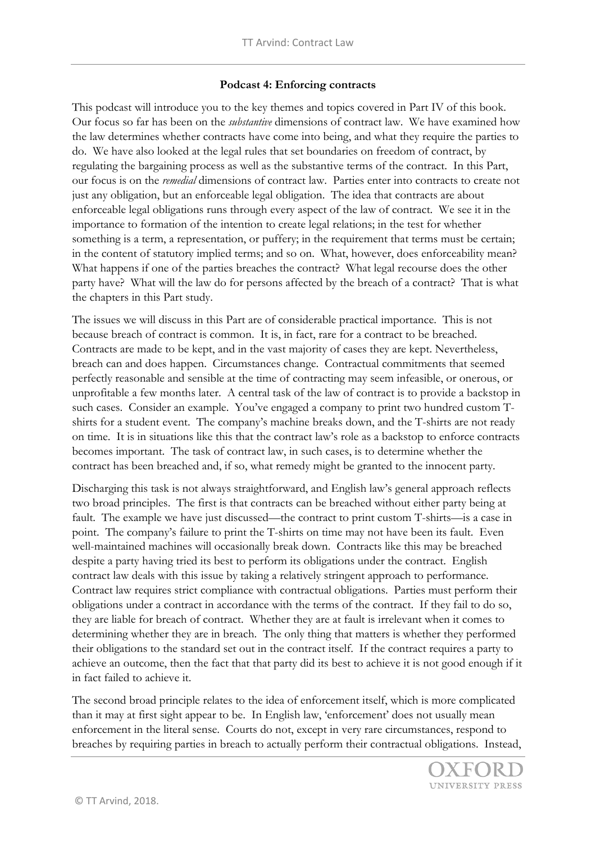## **Podcast 4: Enforcing contracts**

This podcast will introduce you to the key themes and topics covered in Part IV of this book. Our focus so far has been on the *substantive* dimensions of contract law. We have examined how the law determines whether contracts have come into being, and what they require the parties to do. We have also looked at the legal rules that set boundaries on freedom of contract, by regulating the bargaining process as well as the substantive terms of the contract. In this Part, our focus is on the *remedial* dimensions of contract law. Parties enter into contracts to create not just any obligation, but an enforceable legal obligation. The idea that contracts are about enforceable legal obligations runs through every aspect of the law of contract. We see it in the importance to formation of the intention to create legal relations; in the test for whether something is a term, a representation, or puffery; in the requirement that terms must be certain; in the content of statutory implied terms; and so on. What, however, does enforceability mean? What happens if one of the parties breaches the contract? What legal recourse does the other party have? What will the law do for persons affected by the breach of a contract? That is what the chapters in this Part study.

The issues we will discuss in this Part are of considerable practical importance. This is not because breach of contract is common. It is, in fact, rare for a contract to be breached. Contracts are made to be kept, and in the vast majority of cases they are kept. Nevertheless, breach can and does happen. Circumstances change. Contractual commitments that seemed perfectly reasonable and sensible at the time of contracting may seem infeasible, or onerous, or unprofitable a few months later. A central task of the law of contract is to provide a backstop in such cases. Consider an example. You've engaged a company to print two hundred custom Tshirts for a student event. The company's machine breaks down, and the T-shirts are not ready on time. It is in situations like this that the contract law's role as a backstop to enforce contracts becomes important. The task of contract law, in such cases, is to determine whether the contract has been breached and, if so, what remedy might be granted to the innocent party.

Discharging this task is not always straightforward, and English law's general approach reflects two broad principles. The first is that contracts can be breached without either party being at fault. The example we have just discussed—the contract to print custom T-shirts—is a case in point. The company's failure to print the T-shirts on time may not have been its fault. Even well-maintained machines will occasionally break down. Contracts like this may be breached despite a party having tried its best to perform its obligations under the contract. English contract law deals with this issue by taking a relatively stringent approach to performance. Contract law requires strict compliance with contractual obligations. Parties must perform their obligations under a contract in accordance with the terms of the contract. If they fail to do so, they are liable for breach of contract. Whether they are at fault is irrelevant when it comes to determining whether they are in breach. The only thing that matters is whether they performed their obligations to the standard set out in the contract itself. If the contract requires a party to achieve an outcome, then the fact that that party did its best to achieve it is not good enough if it in fact failed to achieve it.

The second broad principle relates to the idea of enforcement itself, which is more complicated than it may at first sight appear to be. In English law, 'enforcement' does not usually mean enforcement in the literal sense. Courts do not, except in very rare circumstances, respond to breaches by requiring parties in breach to actually perform their contractual obligations. Instead,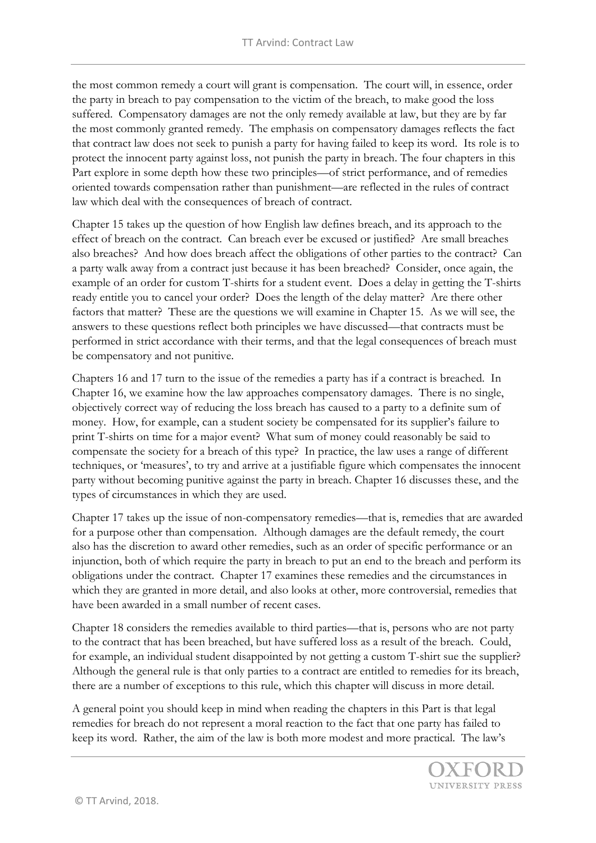the most common remedy a court will grant is compensation. The court will, in essence, order the party in breach to pay compensation to the victim of the breach, to make good the loss suffered. Compensatory damages are not the only remedy available at law, but they are by far the most commonly granted remedy. The emphasis on compensatory damages reflects the fact that contract law does not seek to punish a party for having failed to keep its word. Its role is to protect the innocent party against loss, not punish the party in breach. The four chapters in this Part explore in some depth how these two principles—of strict performance, and of remedies oriented towards compensation rather than punishment—are reflected in the rules of contract law which deal with the consequences of breach of contract.

Chapter 15 takes up the question of how English law defines breach, and its approach to the effect of breach on the contract. Can breach ever be excused or justified? Are small breaches also breaches? And how does breach affect the obligations of other parties to the contract? Can a party walk away from a contract just because it has been breached? Consider, once again, the example of an order for custom T-shirts for a student event. Does a delay in getting the T-shirts ready entitle you to cancel your order? Does the length of the delay matter? Are there other factors that matter? These are the questions we will examine in Chapter 15. As we will see, the answers to these questions reflect both principles we have discussed—that contracts must be performed in strict accordance with their terms, and that the legal consequences of breach must be compensatory and not punitive.

Chapters 16 and 17 turn to the issue of the remedies a party has if a contract is breached. In Chapter 16, we examine how the law approaches compensatory damages. There is no single, objectively correct way of reducing the loss breach has caused to a party to a definite sum of money. How, for example, can a student society be compensated for its supplier's failure to print T-shirts on time for a major event? What sum of money could reasonably be said to compensate the society for a breach of this type? In practice, the law uses a range of different techniques, or 'measures', to try and arrive at a justifiable figure which compensates the innocent party without becoming punitive against the party in breach. Chapter 16 discusses these, and the types of circumstances in which they are used.

Chapter 17 takes up the issue of non-compensatory remedies—that is, remedies that are awarded for a purpose other than compensation. Although damages are the default remedy, the court also has the discretion to award other remedies, such as an order of specific performance or an injunction, both of which require the party in breach to put an end to the breach and perform its obligations under the contract. Chapter 17 examines these remedies and the circumstances in which they are granted in more detail, and also looks at other, more controversial, remedies that have been awarded in a small number of recent cases.

Chapter 18 considers the remedies available to third parties—that is, persons who are not party to the contract that has been breached, but have suffered loss as a result of the breach. Could, for example, an individual student disappointed by not getting a custom T-shirt sue the supplier? Although the general rule is that only parties to a contract are entitled to remedies for its breach, there are a number of exceptions to this rule, which this chapter will discuss in more detail.

A general point you should keep in mind when reading the chapters in this Part is that legal remedies for breach do not represent a moral reaction to the fact that one party has failed to keep its word. Rather, the aim of the law is both more modest and more practical. The law's